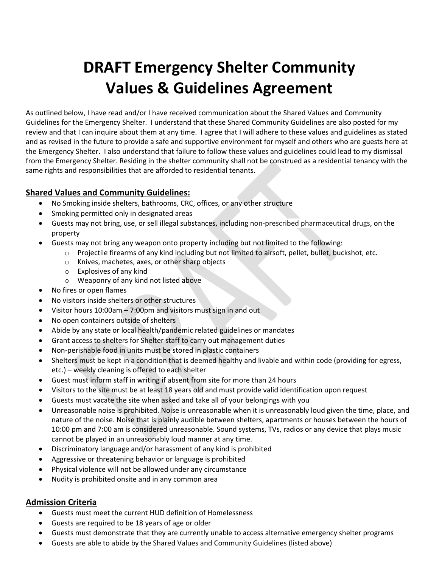# **DRAFT Emergency Shelter Community Values & Guidelines Agreement**

As outlined below, I have read and/or I have received communication about the Shared Values and Community Guidelines for the Emergency Shelter. I understand that these Shared Community Guidelines are also posted for my review and that I can inquire about them at any time. I agree that I will adhere to these values and guidelines as stated and as revised in the future to provide a safe and supportive environment for myself and others who are guests here at the Emergency Shelter. I also understand that failure to follow these values and guidelines could lead to my dismissal from the Emergency Shelter. Residing in the shelter community shall not be construed as a residential tenancy with the same rights and responsibilities that are afforded to residential tenants.

## **Shared Values and Community Guidelines:**

- No Smoking inside shelters, bathrooms, CRC, offices, or any other structure
- Smoking permitted only in designated areas
- Guests may not bring, use, or sell illegal substances, including non-prescribed pharmaceutical drugs, on the property
- Guests may not bring any weapon onto property including but not limited to the following:
	- $\circ$  Projectile firearms of any kind including but not limited to airsoft, pellet, bullet, buckshot, etc.
	- o Knives, machetes, axes, or other sharp objects
	- o Explosives of any kind
	- o Weaponry of any kind not listed above
- No fires or open flames
- No visitors inside shelters or other structures
- Visitor hours 10:00am 7:00pm and visitors must sign in and out
- No open containers outside of shelters
- Abide by any state or local health/pandemic related guidelines or mandates
- Grant access to shelters for Shelter staff to carry out management duties
- Non-perishable food in units must be stored in plastic containers
- Shelters must be kept in a condition that is deemed healthy and livable and within code (providing for egress, etc.) – weekly cleaning is offered to each shelter
- Guest must inform staff in writing if absent from site for more than 24 hours
- Visitors to the site must be at least 18 years old and must provide valid identification upon request
- Guests must vacate the site when asked and take all of your belongings with you
- Unreasonable noise is prohibited. Noise is unreasonable when it is unreasonably loud given the time, place, and nature of the noise. Noise that is plainly audible between shelters, apartments or houses between the hours of 10:00 pm and 7:00 am is considered unreasonable. Sound systems, TVs, radios or any device that plays music cannot be played in an unreasonably loud manner at any time.
- Discriminatory language and/or harassment of any kind is prohibited
- Aggressive or threatening behavior or language is prohibited
- Physical violence will not be allowed under any circumstance
- Nudity is prohibited onsite and in any common area

## **Admission Criteria**

- Guests must meet the current HUD definition of Homelessness
- Guests are required to be 18 years of age or older
- Guests must demonstrate that they are currently unable to access alternative emergency shelter programs
- Guests are able to abide by the Shared Values and Community Guidelines (listed above)